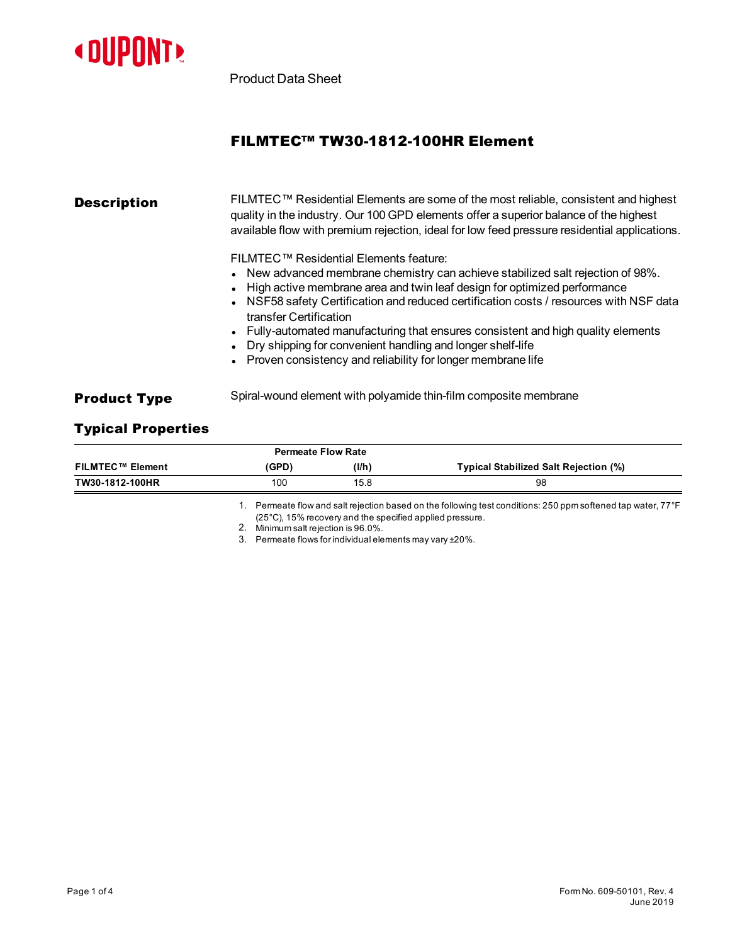

Product Data Sheet

## FILMTEC™ TW30-1812-100HR Element

# **Description** FILMTEC™ Residential Elements are some of the most reliable, consistent and highest quality in the industry. Our 100 GPD elements offer a superior balance of the highest available flow with premium rejection, ideal for low feed pressure residential applications. FILMTEC™ Residential Elements feature:  $\bullet$  New advanced membrane chemistry can achieve stabilized salt rejection of 98%. High active membrane area and twin leaf design for optimized performance NSF58 safety Certification and reduced certification costs / resources with NSF data transfer Certification • Fully-automated manufacturing that ensures consistent and high quality elements Dry shipping for convenient handling and longer shelf-life Proven consistency and reliability for longer membrane life **Product Type** Spiral-wound element with polyamide thin-film composite membrane

## Typical Properties

| FILMTEC™ Element | (GPD) | (I/h) | Typical Stabilized Salt Rejection (%) |
|------------------|-------|-------|---------------------------------------|
| TW30-1812-100HR  | 100   | 15.8  | 98                                    |
|                  |       |       |                                       |

1. Permeate flow and salt rejection based on the following test conditions: 250 ppm softened tap water, 77°F (25°C), 15% recoveryand the specified applied pressure.

2. Minimum salt rejection is96.0%.

3. Permeate flows for individualelements may vary ±20%.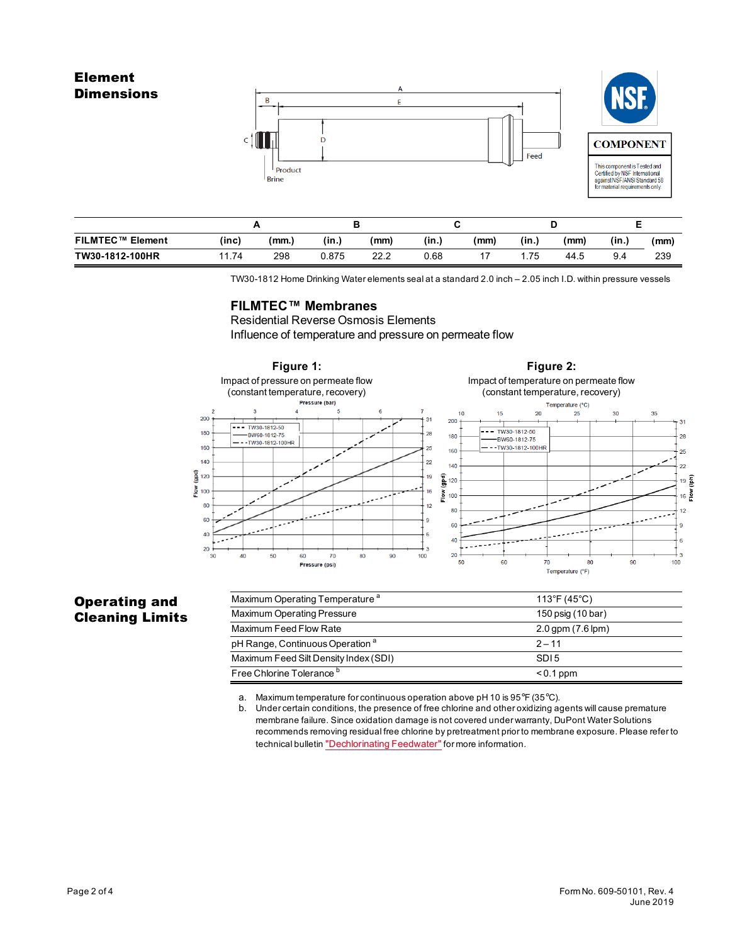



Feed

| <b>FILMTEC™ Element</b> | (inc) | (mm.) | (in.) | (mm) | (in., | (mm) | (in., | (mm) | (in.) | (mm) |
|-------------------------|-------|-------|-------|------|-------|------|-------|------|-------|------|
| TW30-1812-100HR         | 11.74 | 298   | 0.875 | 22.2 | 0.68  |      | .75   | 44.5 | 9.4   | 239  |

TW30-1812 Home Drinking Waterelements sealat a standard 2.0 inch – 2.05 inch I.D. within pressure vessels

### **FILMTEC™ Membranes**

Residential Reverse Osmosis Elements Influence of temperature and pressure on permeate flow



## Operating and Cleaning Limits

| Maximum Operating Temperature <sup>a</sup>  | 113°F (45°C)             |
|---------------------------------------------|--------------------------|
| Maximum Operating Pressure                  | 150 psig (10 bar)        |
| Maximum Feed Flow Rate                      | $2.0$ gpm $(7.6$ lpm $)$ |
| pH Range, Continuous Operation <sup>a</sup> | $2 - 11$                 |
| Maximum Feed Silt Density Index (SDI)       | SDI <sub>5</sub>         |
| Free Chlorine Tolerance <sup>b</sup>        | $< 0.1$ ppm              |

a. Maximum temperature for continuous operation above pH 10 is  $95^{\circ}F$  (35 $^{\circ}C$ ).

b. Under certain conditions, the presence of free chlorine and otheroxidizing agents will cause premature membrane failure. Since oxidation damage isnot covered under warranty, DuPont Water Solutions recommends removing residual free chlorine by pretreatment prior to membrane exposure. Please refer to technical bulletin ["Dechlorinating](http://www.dupont.com/content/dam/Dupont2.0/Products/water/literature/609-22010.pdf) Feedwater" for more information.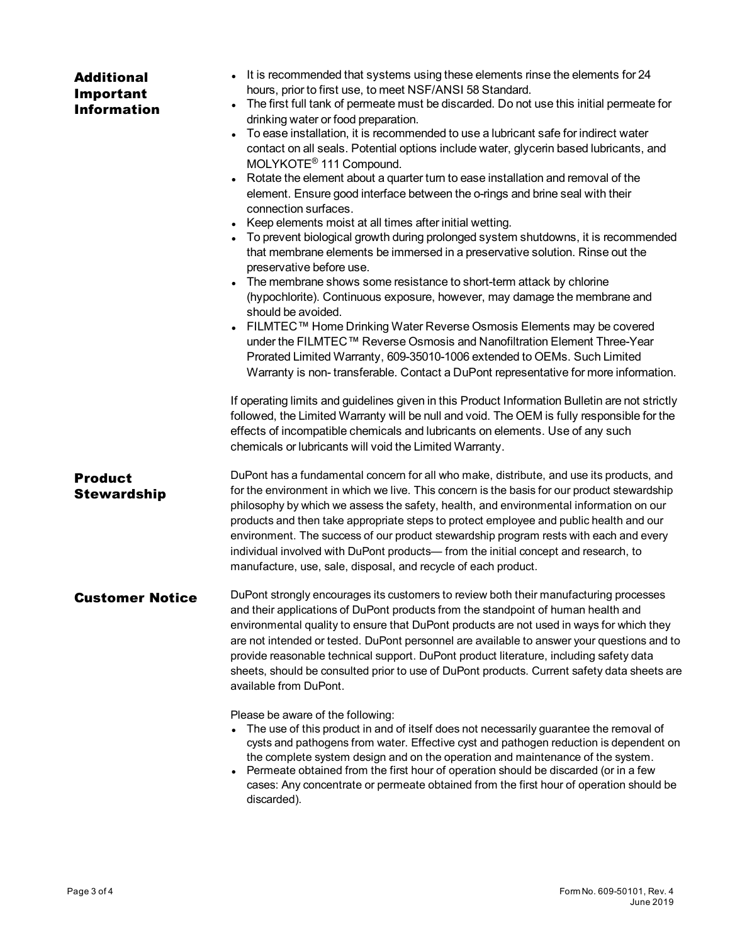| <b>Additional</b><br>Important<br><b>Information</b> | • It is recommended that systems using these elements rinse the elements for 24<br>hours, prior to first use, to meet NSF/ANSI 58 Standard.<br>The first full tank of permeate must be discarded. Do not use this initial permeate for<br>drinking water or food preparation.<br>To ease installation, it is recommended to use a lubricant safe for indirect water<br>contact on all seals. Potential options include water, glycerin based lubricants, and<br>MOLYKOTE <sup>®</sup> 111 Compound.<br>Rotate the element about a quarter turn to ease installation and removal of the<br>element. Ensure good interface between the o-rings and brine seal with their<br>connection surfaces.<br>• Keep elements moist at all times after initial wetting.<br>• To prevent biological growth during prolonged system shutdowns, it is recommended<br>that membrane elements be immersed in a preservative solution. Rinse out the<br>preservative before use.<br>• The membrane shows some resistance to short-term attack by chlorine<br>(hypochlorite). Continuous exposure, however, may damage the membrane and<br>should be avoided.<br>FILMTEC™ Home Drinking Water Reverse Osmosis Elements may be covered<br>under the FILMTEC™ Reverse Osmosis and Nanofiltration Element Three-Year<br>Prorated Limited Warranty, 609-35010-1006 extended to OEMs. Such Limited<br>Warranty is non-transferable. Contact a DuPont representative for more information.<br>If operating limits and guidelines given in this Product Information Bulletin are not strictly<br>followed, the Limited Warranty will be null and void. The OEM is fully responsible for the<br>effects of incompatible chemicals and lubricants on elements. Use of any such<br>chemicals or lubricants will void the Limited Warranty. |
|------------------------------------------------------|---------------------------------------------------------------------------------------------------------------------------------------------------------------------------------------------------------------------------------------------------------------------------------------------------------------------------------------------------------------------------------------------------------------------------------------------------------------------------------------------------------------------------------------------------------------------------------------------------------------------------------------------------------------------------------------------------------------------------------------------------------------------------------------------------------------------------------------------------------------------------------------------------------------------------------------------------------------------------------------------------------------------------------------------------------------------------------------------------------------------------------------------------------------------------------------------------------------------------------------------------------------------------------------------------------------------------------------------------------------------------------------------------------------------------------------------------------------------------------------------------------------------------------------------------------------------------------------------------------------------------------------------------------------------------------------------------------------------------------------------------------------------------------------------------------------|
| <b>Product</b><br><b>Stewardship</b>                 | DuPont has a fundamental concern for all who make, distribute, and use its products, and<br>for the environment in which we live. This concern is the basis for our product stewardship<br>philosophy by which we assess the safety, health, and environmental information on our<br>products and then take appropriate steps to protect employee and public health and our<br>environment. The success of our product stewardship program rests with each and every<br>individual involved with DuPont products- from the initial concept and research, to<br>manufacture, use, sale, disposal, and recycle of each product.                                                                                                                                                                                                                                                                                                                                                                                                                                                                                                                                                                                                                                                                                                                                                                                                                                                                                                                                                                                                                                                                                                                                                                                 |
| <b>Customer Notice</b>                               | DuPont strongly encourages its customers to review both their manufacturing processes<br>and their applications of DuPont products from the standpoint of human health and<br>environmental quality to ensure that DuPont products are not used in ways for which they<br>are not intended or tested. DuPont personnel are available to answer your questions and to<br>provide reasonable technical support. DuPont product literature, including safety data<br>sheets, should be consulted prior to use of DuPont products. Current safety data sheets are<br>available from DuPont.                                                                                                                                                                                                                                                                                                                                                                                                                                                                                                                                                                                                                                                                                                                                                                                                                                                                                                                                                                                                                                                                                                                                                                                                                       |
|                                                      | Please be aware of the following:<br>The use of this product in and of itself does not necessarily guarantee the removal of<br>cysts and pathogens from water. Effective cyst and pathogen reduction is dependent on<br>the complete system design and on the operation and maintenance of the system.<br>Permeate obtained from the first hour of operation should be discarded (or in a few<br>cases: Any concentrate or permeate obtained from the first hour of operation should be<br>discarded).                                                                                                                                                                                                                                                                                                                                                                                                                                                                                                                                                                                                                                                                                                                                                                                                                                                                                                                                                                                                                                                                                                                                                                                                                                                                                                        |